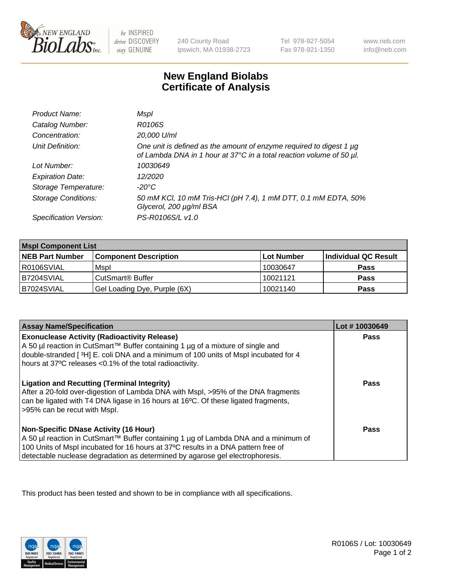

 $be$  INSPIRED drive DISCOVERY stay GENUINE

240 County Road Ipswich, MA 01938-2723 Tel 978-927-5054 Fax 978-921-1350

www.neb.com info@neb.com

## **New England Biolabs Certificate of Analysis**

| Product Name:              | Mspl                                                                                                                                        |
|----------------------------|---------------------------------------------------------------------------------------------------------------------------------------------|
| Catalog Number:            | R0106S                                                                                                                                      |
| Concentration:             | 20,000 U/ml                                                                                                                                 |
| Unit Definition:           | One unit is defined as the amount of enzyme required to digest 1 µg<br>of Lambda DNA in 1 hour at 37°C in a total reaction volume of 50 µl. |
| Lot Number:                | 10030649                                                                                                                                    |
| <b>Expiration Date:</b>    | 12/2020                                                                                                                                     |
| Storage Temperature:       | -20°C                                                                                                                                       |
| <b>Storage Conditions:</b> | 50 mM KCl, 10 mM Tris-HCl (pH 7.4), 1 mM DTT, 0.1 mM EDTA, 50%<br>Glycerol, 200 µg/ml BSA                                                   |
| Specification Version:     | PS-R0106S/L v1.0                                                                                                                            |

| <b>Mspl Component List</b> |                              |            |                      |  |
|----------------------------|------------------------------|------------|----------------------|--|
| <b>NEB Part Number</b>     | <b>Component Description</b> | Lot Number | Individual QC Result |  |
| R0106SVIAL                 | Mspl                         | 10030647   | <b>Pass</b>          |  |
| B7204SVIAL                 | CutSmart <sup>®</sup> Buffer | 10021121   | <b>Pass</b>          |  |
| B7024SVIAL                 | Gel Loading Dye, Purple (6X) | 10021140   | <b>Pass</b>          |  |

| <b>Assay Name/Specification</b>                                                                                                                                                                                                                                                                             | Lot #10030649 |
|-------------------------------------------------------------------------------------------------------------------------------------------------------------------------------------------------------------------------------------------------------------------------------------------------------------|---------------|
| <b>Exonuclease Activity (Radioactivity Release)</b><br>  A 50 µl reaction in CutSmart™ Buffer containing 1 µg of a mixture of single and<br>double-stranded [3H] E. coli DNA and a minimum of 100 units of Mspl incubated for 4<br>hours at 37°C releases <0.1% of the total radioactivity.                 | Pass          |
| <b>Ligation and Recutting (Terminal Integrity)</b><br>After a 20-fold over-digestion of Lambda DNA with Mspl, >95% of the DNA fragments<br>can be ligated with T4 DNA ligase in 16 hours at 16 <sup>o</sup> C. Of these ligated fragments,<br>>95% can be recut with Mspl.                                  | Pass          |
| <b>Non-Specific DNase Activity (16 Hour)</b><br>  A 50 µl reaction in CutSmart™ Buffer containing 1 µg of Lambda DNA and a minimum of<br>100 Units of Mspl incubated for 16 hours at 37°C results in a DNA pattern free of<br>detectable nuclease degradation as determined by agarose gel electrophoresis. | Pass          |

This product has been tested and shown to be in compliance with all specifications.